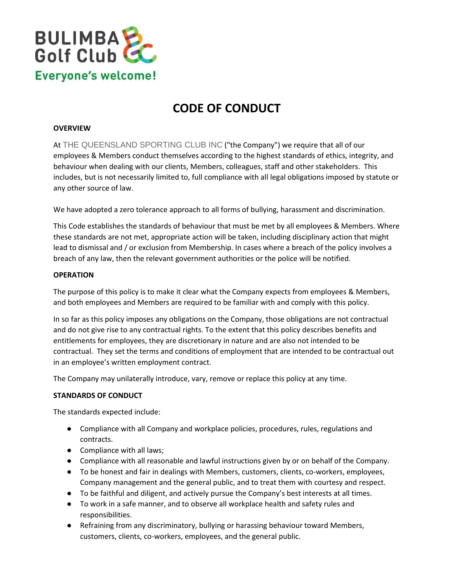

# **CODE OF CONDUCT**

### **OVERVIEW**

At THE QUEENSLAND SPORTING CLUB INC ("the Company") we require that all of our employees & Members conduct themselves according to the highest standards of ethics, integrity, and behaviour when dealing with our clients, Members, colleagues, staff and other stakeholders. This includes, but is not necessarily limited to, full compliance with all legal obligations imposed by statute or any other source of law.

We have adopted a zero tolerance approach to all forms of bullying, harassment and discrimination.

This Code establishes the standards of behaviour that must be met by all employees & Members. Where these standards are not met, appropriate action will be taken, including disciplinary action that might lead to dismissal and / or exclusion from Membership. In cases where a breach of the policy involves a breach of any law, then the relevant government authorities or the police will be notified.

## **OPERATION**

The purpose of this policy is to make it clear what the Company expects from employees & Members, and both employees and Members are required to be familiar with and comply with this policy.

In so far as this policy imposes any obligations on the Company, those obligations are not contractual and do not give rise to any contractual rights. To the extent that this policy describes benefits and entitlements for employees, they are discretionary in nature and are also not intended to be contractual. They set the terms and conditions of employment that are intended to be contractual out in an employee's written employment contract.

The Company may unilaterally introduce, vary, remove or replace this policy at any time.

#### **STANDARDS OF CONDUCT**

The standards expected include:

- Compliance with all Company and workplace policies, procedures, rules, regulations and contracts.
- Compliance with all laws;
- Compliance with all reasonable and lawful instructions given by or on behalf of the Company.
- To be honest and fair in dealings with Members, customers, clients, co-workers, employees, Company management and the general public, and to treat them with courtesy and respect.
- To be faithful and diligent, and actively pursue the Company's best interests at all times.
- To work in a safe manner, and to observe all workplace health and safety rules and responsibilities.
- Refraining from any discriminatory, bullying or harassing behaviour toward Members, customers, clients, co-workers, employees, and the general public.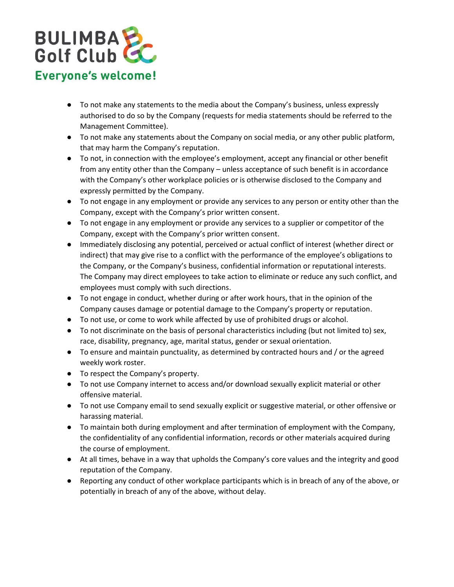

- To not make any statements to the media about the Company's business, unless expressly authorised to do so by the Company (requests for media statements should be referred to the Management Committee).
- To not make any statements about the Company on social media, or any other public platform, that may harm the Company's reputation.
- To not, in connection with the employee's employment, accept any financial or other benefit from any entity other than the Company – unless acceptance of such benefit is in accordance with the Company's other workplace policies or is otherwise disclosed to the Company and expressly permitted by the Company.
- To not engage in any employment or provide any services to any person or entity other than the Company, except with the Company's prior written consent.
- To not engage in any employment or provide any services to a supplier or competitor of the Company, except with the Company's prior written consent.
- Immediately disclosing any potential, perceived or actual conflict of interest (whether direct or indirect) that may give rise to a conflict with the performance of the employee's obligations to the Company, or the Company's business, confidential information or reputational interests. The Company may direct employees to take action to eliminate or reduce any such conflict, and employees must comply with such directions.
- To not engage in conduct, whether during or after work hours, that in the opinion of the Company causes damage or potential damage to the Company's property or reputation.
- To not use, or come to work while affected by use of prohibited drugs or alcohol.
- To not discriminate on the basis of personal characteristics including (but not limited to) sex, race, disability, pregnancy, age, marital status, gender or sexual orientation.
- To ensure and maintain punctuality, as determined by contracted hours and / or the agreed weekly work roster.
- To respect the Company's property.
- To not use Company internet to access and/or download sexually explicit material or other offensive material.
- To not use Company email to send sexually explicit or suggestive material, or other offensive or harassing material.
- To maintain both during employment and after termination of employment with the Company, the confidentiality of any confidential information, records or other materials acquired during the course of employment.
- At all times, behave in a way that upholds the Company's core values and the integrity and good reputation of the Company.
- Reporting any conduct of other workplace participants which is in breach of any of the above, or potentially in breach of any of the above, without delay.